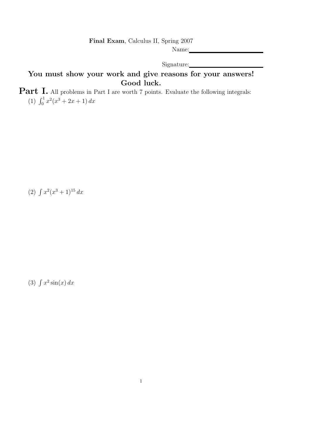Final Exam, Calculus II, Spring 2007

Name:

Signature:

## You must show your work and give reasons for your answers! Good luck.

**Part I.** All problems in Part I are worth 7 points. Evaluate the following integrals: (1)  $\int_0^1 x^2(x^3 + 2x + 1) dx$ 

(2)  $\int x^2(x^3+1)^{15} dx$ 

(3)  $\int x^2 \sin(x) dx$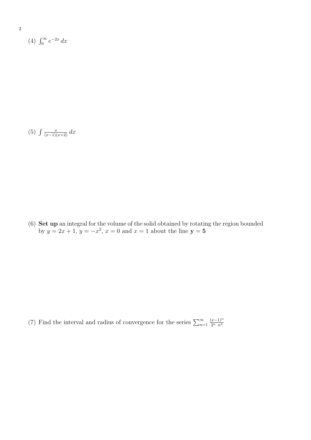(4)  $\int_0^\infty e^{-2x} dx$ 

(5)  $\int \frac{x}{(x-1)(x+2)} dx$ 

(6) Set up an integral for the volume of the solid obtained by rotating the region bounded by  $y = 2x + 1$ ,  $y = -x^2$ ,  $x = 0$  and  $x = 1$  about the line  $y = 5$ 

(7) Find the interval and radius of convergence for the series  $\sum_{n=1}^{\infty}$  $(x-1)^n$  $2^n$   $n^3$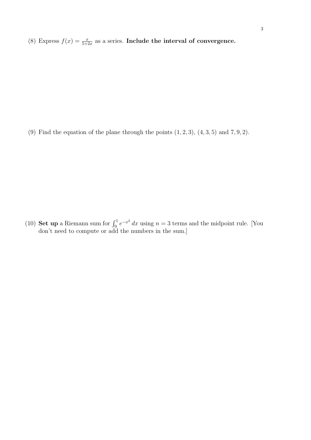(8) Express  $f(x) = \frac{x}{5+2x}$  as a series. Include the interval of convergence.

(9) Find the equation of the plane through the points  $(1, 2, 3)$ ,  $(4, 3, 5)$  and  $(7, 9, 2)$ .

(10) **Set up** a Riemann sum for  $\int_0^1 e^{-x^2} dx$  using  $n = 3$  terms and the midpoint rule. [You don't need to compute or add the numbers in the sum.]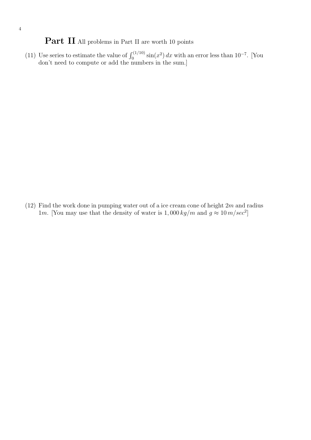## Part II All problems in Part II are worth 10 points

(11) Use series to estimate the value of  $\int_0^{(1/10)} \sin(x^2) dx$  with an error less than 10<sup>-7</sup>. [You don't need to compute or add the numbers in the sum.]

(12) Find the work done in pumping water out of a ice cream cone of height  $2m$  and radius 1m. [You may use that the density of water is  $1,000 \ kg/m$  and  $g \approx 10 \ m/sec^2$ ]